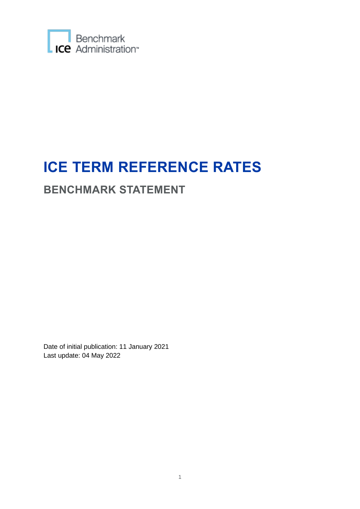

# **ICE TERM REFERENCE RATES**

## **BENCHMARK STATEMENT**

Date of initial publication: 11 January 2021 Last update: 04 May 2022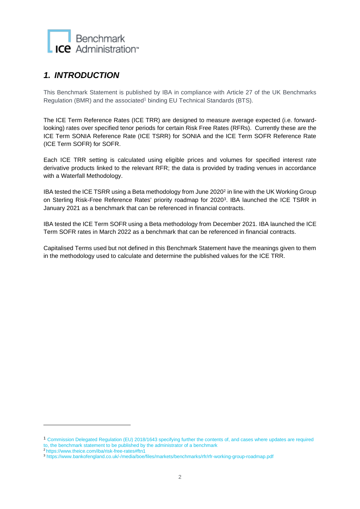

### *1. INTRODUCTION*

This Benchmark Statement is published by IBA in compliance with Article 27 of the UK Benchmarks Regulation (BMR) and the associated<sup>1</sup> binding EU Technical Standards (BTS).

The ICE Term Reference Rates (ICE TRR) are designed to measure average expected (i.e. forwardlooking) rates over specified tenor periods for certain Risk Free Rates (RFRs). Currently these are the ICE Term SONIA Reference Rate (ICE TSRR) for SONIA and the ICE Term SOFR Reference Rate (ICE Term SOFR) for SOFR.

Each ICE TRR setting is calculated using eligible prices and volumes for specified interest rate derivative products linked to the relevant RFR; the data is provided by trading venues in accordance with a Waterfall Methodology.

IBA tested the ICE TSRR using a Beta methodology from June 2020<sup>2</sup> in line with the UK Working Group on Sterling Risk-Free Reference Rates' [priority roadmap for 2020](https://www.bankofengland.co.uk/-/media/boe/files/markets/benchmarks/rfr/rfrwgs-2020-priorities-and-milestones.pdf)<sup>3</sup>. IBA launched the ICE TSRR in January 2021 as a benchmark that can be referenced in financial contracts.

IBA tested the ICE Term SOFR using a Beta methodology from December 2021. IBA launched the ICE Term SOFR rates in March 2022 as a benchmark that can be referenced in financial contracts.

Capitalised Terms used but not defined in this Benchmark Statement have the meanings given to them in the methodology used to calculate and determine the published values for the ICE TRR.

<sup>1</sup> Commission Delegated Regulation (EU) 2018/1643 specifying further the contents of, and cases where updates are required to, the benchmark statement to be published by the administrator of a benchmark <sup>2</sup> <https://www.theice.com/iba/risk-free-rates#ftn1>

<sup>3</sup> <https://www.bankofengland.co.uk/-/media/boe/files/markets/benchmarks/rfr/rfr-working-group-roadmap.pdf>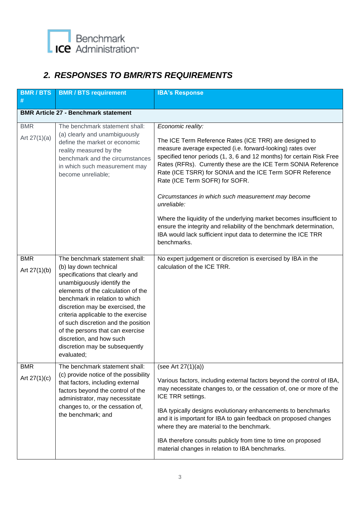## *2. RESPONSES TO BMR/RTS REQUIREMENTS*

| <b>BMR/BTS</b><br>#          | <b>BMR / BTS requirement</b>                                                                                                                                                                                                                                                                                                                                                                                                        | <b>IBA's Response</b>                                                                                                                                                                                                                                                                                                                                                                                                                                                                                                                                                                                                                                                                    |
|------------------------------|-------------------------------------------------------------------------------------------------------------------------------------------------------------------------------------------------------------------------------------------------------------------------------------------------------------------------------------------------------------------------------------------------------------------------------------|------------------------------------------------------------------------------------------------------------------------------------------------------------------------------------------------------------------------------------------------------------------------------------------------------------------------------------------------------------------------------------------------------------------------------------------------------------------------------------------------------------------------------------------------------------------------------------------------------------------------------------------------------------------------------------------|
|                              | <b>BMR Article 27 - Benchmark statement</b>                                                                                                                                                                                                                                                                                                                                                                                         |                                                                                                                                                                                                                                                                                                                                                                                                                                                                                                                                                                                                                                                                                          |
| <b>BMR</b><br>Art $27(1)(a)$ | The benchmark statement shall:<br>(a) clearly and unambiguously<br>define the market or economic<br>reality measured by the<br>benchmark and the circumstances<br>in which such measurement may<br>become unreliable;                                                                                                                                                                                                               | Economic reality:<br>The ICE Term Reference Rates (ICE TRR) are designed to<br>measure average expected (i.e. forward-looking) rates over<br>specified tenor periods (1, 3, 6 and 12 months) for certain Risk Free<br>Rates (RFRs). Currently these are the ICE Term SONIA Reference<br>Rate (ICE TSRR) for SONIA and the ICE Term SOFR Reference<br>Rate (ICE Term SOFR) for SOFR.<br>Circumstances in which such measurement may become<br>unreliable:<br>Where the liquidity of the underlying market becomes insufficient to<br>ensure the integrity and reliability of the benchmark determination,<br>IBA would lack sufficient input data to determine the ICE TRR<br>benchmarks. |
| <b>BMR</b><br>Art $27(1)(b)$ | The benchmark statement shall:<br>(b) lay down technical<br>specifications that clearly and<br>unambiguously identify the<br>elements of the calculation of the<br>benchmark in relation to which<br>discretion may be exercised, the<br>criteria applicable to the exercise<br>of such discretion and the position<br>of the persons that can exercise<br>discretion, and how such<br>discretion may be subsequently<br>evaluated; | No expert judgement or discretion is exercised by IBA in the<br>calculation of the ICE TRR.                                                                                                                                                                                                                                                                                                                                                                                                                                                                                                                                                                                              |
| <b>BMR</b><br>Art $27(1)(c)$ | The benchmark statement shall:<br>(c) provide notice of the possibility<br>that factors, including external<br>factors beyond the control of the<br>administrator, may necessitate<br>changes to, or the cessation of,<br>the benchmark; and                                                                                                                                                                                        | (see Art $27(1)(a)$ )<br>Various factors, including external factors beyond the control of IBA,<br>may necessitate changes to, or the cessation of, one or more of the<br>ICE TRR settings.<br>IBA typically designs evolutionary enhancements to benchmarks<br>and it is important for IBA to gain feedback on proposed changes<br>where they are material to the benchmark.<br>IBA therefore consults publicly from time to time on proposed<br>material changes in relation to IBA benchmarks.                                                                                                                                                                                        |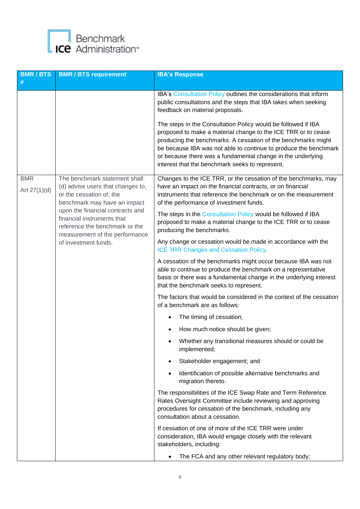

| <b>BMR/BTS</b><br>#          | <b>BMR / BTS requirement</b>                                                                                                       | <b>IBA's Response</b>                                                                                                                                                                                                                                                                                                                                                                 |
|------------------------------|------------------------------------------------------------------------------------------------------------------------------------|---------------------------------------------------------------------------------------------------------------------------------------------------------------------------------------------------------------------------------------------------------------------------------------------------------------------------------------------------------------------------------------|
|                              |                                                                                                                                    | IBA's Consultation Policy outlines the considerations that inform<br>public consultations and the steps that IBA takes when seeking<br>feedback on material proposals.                                                                                                                                                                                                                |
|                              |                                                                                                                                    | The steps in the Consultation Policy would be followed if IBA<br>proposed to make a material change to the ICE TRR or to cease<br>producing the benchmarks. A cessation of the benchmarks might<br>be because IBA was not able to continue to produce the benchmark<br>or because there was a fundamental change in the underlying<br>interest that the benchmark seeks to represent. |
| <b>BMR</b><br>Art $27(1)(d)$ | The benchmark statement shall:<br>(d) advise users that changes to,<br>or the cessation of, the<br>benchmark may have an impact    | Changes to the ICE TRR, or the cessation of the benchmarks, may<br>have an impact on the financial contracts, or on financial<br>instruments that reference the benchmark or on the measurement<br>of the performance of investment funds.                                                                                                                                            |
|                              | upon the financial contracts and<br>financial instruments that<br>reference the benchmark or the<br>measurement of the performance | The steps in the Consultation Policy would be followed if IBA<br>proposed to make a material change to the ICE TRR or to cease<br>producing the benchmarks.                                                                                                                                                                                                                           |
|                              | of investment funds.                                                                                                               | Any change or cessation would be made in accordance with the<br><b>ICE TRR Changes and Cessation Policy.</b>                                                                                                                                                                                                                                                                          |
|                              |                                                                                                                                    | A cessation of the benchmarks might occur because IBA was not<br>able to continue to produce the benchmark on a representative<br>basis or there was a fundamental change in the underlying interest<br>that the benchmark seeks to represent.                                                                                                                                        |
|                              |                                                                                                                                    | The factors that would be considered in the context of the cessation<br>of a benchmark are as follows:                                                                                                                                                                                                                                                                                |
|                              |                                                                                                                                    | The timing of cessation;                                                                                                                                                                                                                                                                                                                                                              |
|                              |                                                                                                                                    | How much notice should be given;                                                                                                                                                                                                                                                                                                                                                      |
|                              |                                                                                                                                    | Whether any transitional measures should or could be<br>implemented;                                                                                                                                                                                                                                                                                                                  |
|                              |                                                                                                                                    | Stakeholder engagement; and                                                                                                                                                                                                                                                                                                                                                           |
|                              |                                                                                                                                    | Identification of possible alternative benchmarks and<br>$\bullet$<br>migration thereto.                                                                                                                                                                                                                                                                                              |
|                              |                                                                                                                                    | The responsibilities of the ICE Swap Rate and Term Reference<br>Rates Oversight Committee include reviewing and approving<br>procedures for cessation of the benchmark, including any<br>consultation about a cessation.                                                                                                                                                              |
|                              |                                                                                                                                    | If cessation of one of more of the ICE TRR were under<br>consideration, IBA would engage closely with the relevant<br>stakeholders, including:                                                                                                                                                                                                                                        |
|                              |                                                                                                                                    | The FCA and any other relevant regulatory body;<br>$\bullet$                                                                                                                                                                                                                                                                                                                          |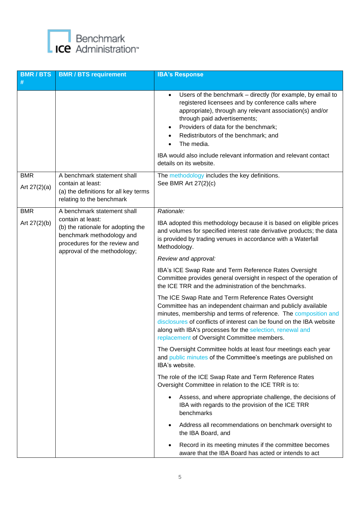

| <b>BMR/BTS</b><br>#          | <b>BMR / BTS requirement</b>                                                                                                                          | <b>IBA's Response</b>                                                                                                                                                                                                                                                                                                                                                                                      |
|------------------------------|-------------------------------------------------------------------------------------------------------------------------------------------------------|------------------------------------------------------------------------------------------------------------------------------------------------------------------------------------------------------------------------------------------------------------------------------------------------------------------------------------------------------------------------------------------------------------|
|                              |                                                                                                                                                       | Users of the benchmark - directly (for example, by email to<br>registered licensees and by conference calls where<br>appropriate), through any relevant association(s) and/or<br>through paid advertisements;<br>Providers of data for the benchmark;<br>Redistributors of the benchmark; and<br>The media.<br>IBA would also include relevant information and relevant contact<br>details on its website. |
| <b>BMR</b><br>Art $27(2)(a)$ | A benchmark statement shall<br>contain at least:<br>(a) the definitions for all key terms<br>relating to the benchmark                                | The methodology includes the key definitions.<br>See BMR Art 27(2)(c)                                                                                                                                                                                                                                                                                                                                      |
| <b>BMR</b>                   | A benchmark statement shall                                                                                                                           | Rationale:                                                                                                                                                                                                                                                                                                                                                                                                 |
| Art $27(2)(b)$               | contain at least:<br>(b) the rationale for adopting the<br>benchmark methodology and<br>procedures for the review and<br>approval of the methodology; | IBA adopted this methodology because it is based on eligible prices<br>and volumes for specified interest rate derivative products; the data<br>is provided by trading venues in accordance with a Waterfall<br>Methodology.                                                                                                                                                                               |
|                              |                                                                                                                                                       | Review and approval:                                                                                                                                                                                                                                                                                                                                                                                       |
|                              |                                                                                                                                                       | IBA's ICE Swap Rate and Term Reference Rates Oversight<br>Committee provides general oversight in respect of the operation of<br>the ICE TRR and the administration of the benchmarks.                                                                                                                                                                                                                     |
|                              |                                                                                                                                                       | The ICE Swap Rate and Term Reference Rates Oversight<br>Committee has an independent chairman and publicly available<br>minutes, membership and terms of reference. The composition and<br>disclosures of conflicts of interest can be found on the IBA website<br>along with IBA's processes for the selection, renewal and<br>replacement of Oversight Committee members.                                |
|                              |                                                                                                                                                       | The Oversight Committee holds at least four meetings each year<br>and public minutes of the Committee's meetings are published on<br>IBA's website.                                                                                                                                                                                                                                                        |
|                              |                                                                                                                                                       | The role of the ICE Swap Rate and Term Reference Rates<br>Oversight Committee in relation to the ICE TRR is to:                                                                                                                                                                                                                                                                                            |
|                              |                                                                                                                                                       | Assess, and where appropriate challenge, the decisions of<br>IBA with regards to the provision of the ICE TRR<br>benchmarks                                                                                                                                                                                                                                                                                |
|                              |                                                                                                                                                       | Address all recommendations on benchmark oversight to<br>the IBA Board, and                                                                                                                                                                                                                                                                                                                                |
|                              |                                                                                                                                                       | Record in its meeting minutes if the committee becomes<br>aware that the IBA Board has acted or intends to act                                                                                                                                                                                                                                                                                             |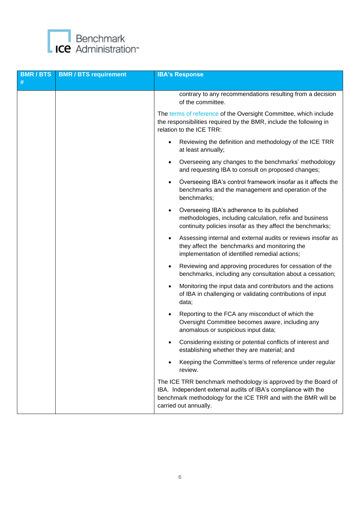

| <b>BMR/BTS</b> | <b>BMR / BTS requirement</b> | <b>IBA's Response</b>                                                                                                                                                                                                     |
|----------------|------------------------------|---------------------------------------------------------------------------------------------------------------------------------------------------------------------------------------------------------------------------|
| #              |                              |                                                                                                                                                                                                                           |
|                |                              | contrary to any recommendations resulting from a decision<br>of the committee.                                                                                                                                            |
|                |                              | The terms of reference of the Oversight Committee, which include<br>the responsibilities required by the BMR, include the following in<br>relation to the ICE TRR:                                                        |
|                |                              | Reviewing the definition and methodology of the ICE TRR<br>at least annually;                                                                                                                                             |
|                |                              | Overseeing any changes to the benchmarks' methodology<br>and requesting IBA to consult on proposed changes;                                                                                                               |
|                |                              | Overseeing IBA's control framework insofar as it affects the<br>benchmarks and the management and operation of the<br>benchmarks;                                                                                         |
|                |                              | Overseeing IBA's adherence to its published<br>methodologies, including calculation, refix and business<br>continuity policies insofar as they affect the benchmarks;                                                     |
|                |                              | Assessing internal and external audits or reviews insofar as<br>$\bullet$<br>they affect the benchmarks and monitoring the<br>implementation of identified remedial actions;                                              |
|                |                              | Reviewing and approving procedures for cessation of the<br>benchmarks, including any consultation about a cessation;                                                                                                      |
|                |                              | Monitoring the input data and contributors and the actions<br>of IBA in challenging or validating contributions of input<br>data;                                                                                         |
|                |                              | Reporting to the FCA any misconduct of which the<br>Oversight Committee becomes aware, including any<br>anomalous or suspicious input data;                                                                               |
|                |                              | Considering existing or potential conflicts of interest and<br>establishing whether they are material; and                                                                                                                |
|                |                              | Keeping the Committee's terms of reference under regular<br>review.                                                                                                                                                       |
|                |                              | The ICE TRR benchmark methodology is approved by the Board of<br>IBA. Independent external audits of IBA's compliance with the<br>benchmark methodology for the ICE TRR and with the BMR will be<br>carried out annually. |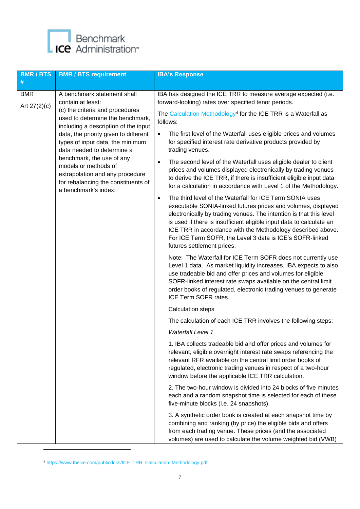

| <b>BMR/BTS</b><br># | <b>BMR / BTS requirement</b>                                                                                                                                                                                                                                                                                                                                                                                                                        | <b>IBA's Response</b>                                                                                                                                                                                                                                                                                                                                                                                                                         |
|---------------------|-----------------------------------------------------------------------------------------------------------------------------------------------------------------------------------------------------------------------------------------------------------------------------------------------------------------------------------------------------------------------------------------------------------------------------------------------------|-----------------------------------------------------------------------------------------------------------------------------------------------------------------------------------------------------------------------------------------------------------------------------------------------------------------------------------------------------------------------------------------------------------------------------------------------|
| <b>BMR</b>          | A benchmark statement shall<br>contain at least:<br>Art $27(2)(c)$<br>(c) the criteria and procedures<br>used to determine the benchmark,<br>including a description of the input<br>data, the priority given to different<br>types of input data, the minimum<br>data needed to determine a<br>benchmark, the use of any<br>models or methods of<br>extrapolation and any procedure<br>for rebalancing the constituents of<br>a benchmark's index; | IBA has designed the ICE TRR to measure average expected (i.e.<br>forward-looking) rates over specified tenor periods.                                                                                                                                                                                                                                                                                                                        |
|                     |                                                                                                                                                                                                                                                                                                                                                                                                                                                     | The Calculation Methodology <sup>4</sup> for the ICE TRR is a Waterfall as<br>follows:                                                                                                                                                                                                                                                                                                                                                        |
|                     |                                                                                                                                                                                                                                                                                                                                                                                                                                                     | The first level of the Waterfall uses eligible prices and volumes<br>$\bullet$<br>for specified interest rate derivative products provided by<br>trading venues.                                                                                                                                                                                                                                                                              |
|                     |                                                                                                                                                                                                                                                                                                                                                                                                                                                     | The second level of the Waterfall uses eligible dealer to client<br>$\bullet$<br>prices and volumes displayed electronically by trading venues<br>to derive the ICE TRR, if there is insufficient eligible input data<br>for a calculation in accordance with Level 1 of the Methodology.                                                                                                                                                     |
|                     |                                                                                                                                                                                                                                                                                                                                                                                                                                                     | The third level of the Waterfall for ICE Term SONIA uses<br>$\bullet$<br>executable SONIA-linked futures prices and volumes, displayed<br>electronically by trading venues. The intention is that this level<br>is used if there is insufficient eligible input data to calculate an<br>ICE TRR in accordance with the Methodology described above.<br>For ICE Term SOFR, the Level 3 data is ICE's SOFR-linked<br>futures settlement prices. |
|                     |                                                                                                                                                                                                                                                                                                                                                                                                                                                     | Note: The Waterfall for ICE Term SOFR does not currently use<br>Level 1 data. As market liquidity increases, IBA expects to also<br>use tradeable bid and offer prices and volumes for eligible<br>SOFR-linked interest rate swaps available on the central limit<br>order books of regulated, electronic trading venues to generate<br>ICE Term SOFR rates.                                                                                  |
|                     |                                                                                                                                                                                                                                                                                                                                                                                                                                                     | <b>Calculation steps</b>                                                                                                                                                                                                                                                                                                                                                                                                                      |
|                     |                                                                                                                                                                                                                                                                                                                                                                                                                                                     | The calculation of each ICE TRR involves the following steps:                                                                                                                                                                                                                                                                                                                                                                                 |
|                     |                                                                                                                                                                                                                                                                                                                                                                                                                                                     | <b>Waterfall Level 1</b>                                                                                                                                                                                                                                                                                                                                                                                                                      |
|                     |                                                                                                                                                                                                                                                                                                                                                                                                                                                     | 1. IBA collects tradeable bid and offer prices and volumes for<br>relevant, eligible overnight interest rate swaps referencing the<br>relevant RFR available on the central limit order books of<br>regulated, electronic trading venues in respect of a two-hour<br>window before the applicable ICE TRR calculation.                                                                                                                        |
|                     |                                                                                                                                                                                                                                                                                                                                                                                                                                                     | 2. The two-hour window is divided into 24 blocks of five minutes<br>each and a random snapshot time is selected for each of these<br>five-minute blocks (i.e. 24 snapshots).                                                                                                                                                                                                                                                                  |
|                     |                                                                                                                                                                                                                                                                                                                                                                                                                                                     | 3. A synthetic order book is created at each snapshot time by<br>combining and ranking (by price) the eligible bids and offers<br>from each trading venue. These prices (and the associated<br>volumes) are used to calculate the volume weighted bid (VWB)                                                                                                                                                                                   |

*<sup>4</sup>* https://www.theice.com/publicdocs/ICE\_TRR\_Calculation\_Methodology.pdf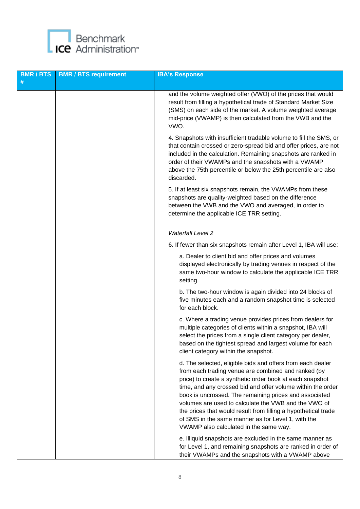

| <b>BMR/BTS</b> | <b>BMR / BTS requirement</b> | <b>IBA's Response</b>                                                                                                                                                                                                                                                                                                                                                                                                                                                                                                            |
|----------------|------------------------------|----------------------------------------------------------------------------------------------------------------------------------------------------------------------------------------------------------------------------------------------------------------------------------------------------------------------------------------------------------------------------------------------------------------------------------------------------------------------------------------------------------------------------------|
| #              |                              |                                                                                                                                                                                                                                                                                                                                                                                                                                                                                                                                  |
|                |                              | and the volume weighted offer (VWO) of the prices that would<br>result from filling a hypothetical trade of Standard Market Size<br>(SMS) on each side of the market. A volume weighted average<br>mid-price (VWAMP) is then calculated from the VWB and the<br>VWO.                                                                                                                                                                                                                                                             |
|                |                              | 4. Snapshots with insufficient tradable volume to fill the SMS, or<br>that contain crossed or zero-spread bid and offer prices, are not<br>included in the calculation. Remaining snapshots are ranked in<br>order of their VWAMPs and the snapshots with a VWAMP<br>above the 75th percentile or below the 25th percentile are also<br>discarded.                                                                                                                                                                               |
|                |                              | 5. If at least six snapshots remain, the VWAMPs from these<br>snapshots are quality-weighted based on the difference<br>between the VWB and the VWO and averaged, in order to<br>determine the applicable ICE TRR setting.                                                                                                                                                                                                                                                                                                       |
|                |                              | <b>Waterfall Level 2</b>                                                                                                                                                                                                                                                                                                                                                                                                                                                                                                         |
|                |                              | 6. If fewer than six snapshots remain after Level 1, IBA will use:                                                                                                                                                                                                                                                                                                                                                                                                                                                               |
|                |                              | a. Dealer to client bid and offer prices and volumes<br>displayed electronically by trading venues in respect of the<br>same two-hour window to calculate the applicable ICE TRR<br>setting.                                                                                                                                                                                                                                                                                                                                     |
|                |                              | b. The two-hour window is again divided into 24 blocks of<br>five minutes each and a random snapshot time is selected<br>for each block.                                                                                                                                                                                                                                                                                                                                                                                         |
|                |                              | c. Where a trading venue provides prices from dealers for<br>multiple categories of clients within a snapshot, IBA will<br>select the prices from a single client category per dealer,<br>based on the tightest spread and largest volume for each<br>client category within the snapshot.                                                                                                                                                                                                                                       |
|                |                              | d. The selected, eligible bids and offers from each dealer<br>from each trading venue are combined and ranked (by<br>price) to create a synthetic order book at each snapshot<br>time, and any crossed bid and offer volume within the order<br>book is uncrossed. The remaining prices and associated<br>volumes are used to calculate the VWB and the VWO of<br>the prices that would result from filling a hypothetical trade<br>of SMS in the same manner as for Level 1, with the<br>VWAMP also calculated in the same way. |
|                |                              | e. Illiquid snapshots are excluded in the same manner as<br>for Level 1, and remaining snapshots are ranked in order of<br>their VWAMPs and the snapshots with a VWAMP above                                                                                                                                                                                                                                                                                                                                                     |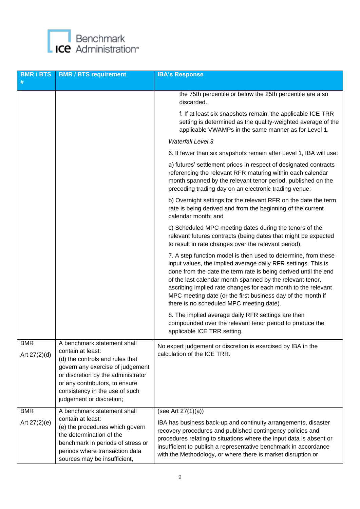

| <b>BMR/BTS</b><br>#        | <b>BMR / BTS requirement</b>                                                                                                                                                                                                                                  | <b>IBA's Response</b>                                                                                                                                                                                                                                                                                                                                                                                                                       |
|----------------------------|---------------------------------------------------------------------------------------------------------------------------------------------------------------------------------------------------------------------------------------------------------------|---------------------------------------------------------------------------------------------------------------------------------------------------------------------------------------------------------------------------------------------------------------------------------------------------------------------------------------------------------------------------------------------------------------------------------------------|
|                            |                                                                                                                                                                                                                                                               | the 75th percentile or below the 25th percentile are also<br>discarded.                                                                                                                                                                                                                                                                                                                                                                     |
|                            | f. If at least six snapshots remain, the applicable ICE TRR<br>setting is determined as the quality-weighted average of the<br>applicable VWAMPs in the same manner as for Level 1.                                                                           |                                                                                                                                                                                                                                                                                                                                                                                                                                             |
|                            |                                                                                                                                                                                                                                                               | <b>Waterfall Level 3</b>                                                                                                                                                                                                                                                                                                                                                                                                                    |
|                            |                                                                                                                                                                                                                                                               | 6. If fewer than six snapshots remain after Level 1, IBA will use:                                                                                                                                                                                                                                                                                                                                                                          |
|                            |                                                                                                                                                                                                                                                               | a) futures' settlement prices in respect of designated contracts<br>referencing the relevant RFR maturing within each calendar<br>month spanned by the relevant tenor period, published on the<br>preceding trading day on an electronic trading venue;                                                                                                                                                                                     |
|                            |                                                                                                                                                                                                                                                               | b) Overnight settings for the relevant RFR on the date the term<br>rate is being derived and from the beginning of the current<br>calendar month; and                                                                                                                                                                                                                                                                                       |
|                            |                                                                                                                                                                                                                                                               | c) Scheduled MPC meeting dates during the tenors of the<br>relevant futures contracts (being dates that might be expected<br>to result in rate changes over the relevant period),                                                                                                                                                                                                                                                           |
|                            |                                                                                                                                                                                                                                                               | 7. A step function model is then used to determine, from these<br>input values, the implied average daily RFR settings. This is<br>done from the date the term rate is being derived until the end<br>of the last calendar month spanned by the relevant tenor,<br>ascribing implied rate changes for each month to the relevant<br>MPC meeting date (or the first business day of the month if<br>there is no scheduled MPC meeting date). |
|                            |                                                                                                                                                                                                                                                               | 8. The implied average daily RFR settings are then<br>compounded over the relevant tenor period to produce the<br>applicable ICE TRR setting.                                                                                                                                                                                                                                                                                               |
| <b>BMR</b><br>Art 27(2)(d) | A benchmark statement shall<br>contain at least:<br>(d) the controls and rules that<br>govern any exercise of judgement<br>or discretion by the administrator<br>or any contributors, to ensure<br>consistency in the use of such<br>judgement or discretion; | No expert judgement or discretion is exercised by IBA in the<br>calculation of the ICE TRR.                                                                                                                                                                                                                                                                                                                                                 |
| <b>BMR</b>                 | A benchmark statement shall                                                                                                                                                                                                                                   | (see Art $27(1)(a)$ )                                                                                                                                                                                                                                                                                                                                                                                                                       |
| Art 27(2)(e)               | contain at least:<br>(e) the procedures which govern<br>the determination of the<br>benchmark in periods of stress or<br>periods where transaction data<br>sources may be insufficient,                                                                       | IBA has business back-up and continuity arrangements, disaster<br>recovery procedures and published contingency policies and<br>procedures relating to situations where the input data is absent or<br>insufficient to publish a representative benchmark in accordance<br>with the Methodology, or where there is market disruption or                                                                                                     |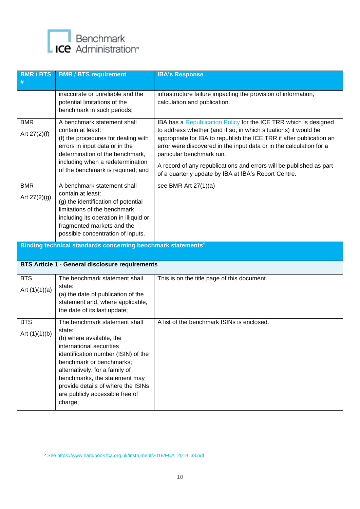

| <b>BMR/BTS</b>  | <b>BMR / BTS requirement</b>                                             | <b>IBA's Response</b>                                                                                                               |
|-----------------|--------------------------------------------------------------------------|-------------------------------------------------------------------------------------------------------------------------------------|
| #               |                                                                          |                                                                                                                                     |
|                 | inaccurate or unreliable and the                                         | infrastructure failure impacting the provision of information,                                                                      |
|                 | potential limitations of the<br>benchmark in such periods;               | calculation and publication.                                                                                                        |
|                 |                                                                          |                                                                                                                                     |
| <b>BMR</b>      | A benchmark statement shall<br>contain at least:                         | IBA has a Republication Policy for the ICE TRR which is designed<br>to address whether (and if so, in which situations) it would be |
| Art 27(2)(f)    | (f) the procedures for dealing with                                      | appropriate for IBA to republish the ICE TRR if after publication an                                                                |
|                 | errors in input data or in the<br>determination of the benchmark,        | error were discovered in the input data or in the calculation for a<br>particular benchmark run.                                    |
|                 | including when a redetermination                                         | A record of any republications and errors will be published as part                                                                 |
|                 | of the benchmark is required; and                                        | of a quarterly update by IBA at IBA's Report Centre.                                                                                |
| <b>BMR</b>      | A benchmark statement shall                                              | see BMR Art 27(1)(a)                                                                                                                |
| Art $27(2)(g)$  | contain at least:<br>(g) the identification of potential                 |                                                                                                                                     |
|                 | limitations of the benchmark,                                            |                                                                                                                                     |
|                 | including its operation in illiquid or<br>fragmented markets and the     |                                                                                                                                     |
|                 | possible concentration of inputs.                                        |                                                                                                                                     |
|                 | Binding technical standards concerning benchmark statements <sup>5</sup> |                                                                                                                                     |
|                 |                                                                          |                                                                                                                                     |
|                 | <b>BTS Article 1 - General disclosure requirements</b>                   |                                                                                                                                     |
| <b>BTS</b>      |                                                                          |                                                                                                                                     |
|                 | The benchmark statement shall                                            | This is on the title page of this document.                                                                                         |
| Art $(1)(1)(a)$ | state:                                                                   |                                                                                                                                     |
|                 | (a) the date of publication of the<br>statement and, where applicable,   |                                                                                                                                     |
|                 | the date of its last update;                                             |                                                                                                                                     |
| <b>BTS</b>      | The benchmark statement shall                                            | A list of the benchmark ISINs is enclosed.                                                                                          |
| Art $(1)(1)(b)$ | state:                                                                   |                                                                                                                                     |
|                 | (b) where available, the<br>international securities                     |                                                                                                                                     |
|                 | identification number (ISIN) of the                                      |                                                                                                                                     |
|                 | benchmark or benchmarks;<br>alternatively, for a family of               |                                                                                                                                     |
|                 | benchmarks, the statement may                                            |                                                                                                                                     |
|                 | provide details of where the ISINs<br>are publicly accessible free of    |                                                                                                                                     |

<sup>5</sup> See [https://www.handbook.fca.org.uk/instrument/2019/FCA\\_2019\\_38.pdf](https://www.handbook.fca.org.uk/instrument/2019/FCA_2019_38.pdf)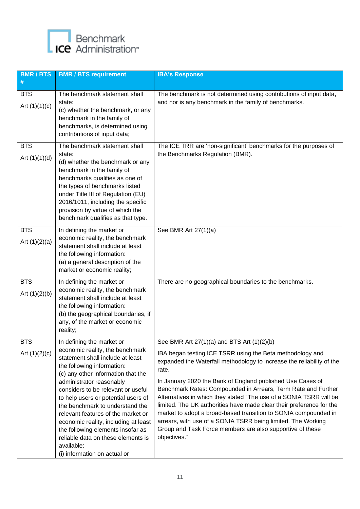

| <b>BMR/BTS</b><br>#           | <b>BMR / BTS requirement</b>                                                                                                                                                                                                                                                                                                                                                                                                                                                                                            | <b>IBA's Response</b>                                                                                                                                                                                                                                                                                                                                                                                                                                                                                                                                                                                                                                                                  |
|-------------------------------|-------------------------------------------------------------------------------------------------------------------------------------------------------------------------------------------------------------------------------------------------------------------------------------------------------------------------------------------------------------------------------------------------------------------------------------------------------------------------------------------------------------------------|----------------------------------------------------------------------------------------------------------------------------------------------------------------------------------------------------------------------------------------------------------------------------------------------------------------------------------------------------------------------------------------------------------------------------------------------------------------------------------------------------------------------------------------------------------------------------------------------------------------------------------------------------------------------------------------|
| <b>BTS</b><br>Art $(1)(1)(c)$ | The benchmark statement shall<br>state:<br>(c) whether the benchmark, or any<br>benchmark in the family of<br>benchmarks, is determined using<br>contributions of input data;                                                                                                                                                                                                                                                                                                                                           | The benchmark is not determined using contributions of input data,<br>and nor is any benchmark in the family of benchmarks.                                                                                                                                                                                                                                                                                                                                                                                                                                                                                                                                                            |
| <b>BTS</b><br>Art $(1)(1)(d)$ | The benchmark statement shall<br>state:<br>(d) whether the benchmark or any<br>benchmark in the family of<br>benchmarks qualifies as one of<br>the types of benchmarks listed<br>under Title III of Regulation (EU)<br>2016/1011, including the specific<br>provision by virtue of which the<br>benchmark qualifies as that type.                                                                                                                                                                                       | The ICE TRR are 'non-significant' benchmarks for the purposes of<br>the Benchmarks Regulation (BMR).                                                                                                                                                                                                                                                                                                                                                                                                                                                                                                                                                                                   |
| <b>BTS</b><br>Art $(1)(2)(a)$ | In defining the market or<br>economic reality, the benchmark<br>statement shall include at least<br>the following information:<br>(a) a general description of the<br>market or economic reality;                                                                                                                                                                                                                                                                                                                       | See BMR Art 27(1)(a)                                                                                                                                                                                                                                                                                                                                                                                                                                                                                                                                                                                                                                                                   |
| <b>BTS</b><br>Art $(1)(2)(b)$ | In defining the market or<br>economic reality, the benchmark<br>statement shall include at least<br>the following information:<br>(b) the geographical boundaries, if<br>any, of the market or economic<br>reality;                                                                                                                                                                                                                                                                                                     | There are no geographical boundaries to the benchmarks.                                                                                                                                                                                                                                                                                                                                                                                                                                                                                                                                                                                                                                |
| <b>BTS</b><br>Art $(1)(2)(c)$ | In defining the market or<br>economic reality, the benchmark<br>statement shall include at least<br>the following information:<br>(c) any other information that the<br>administrator reasonably<br>considers to be relevant or useful<br>to help users or potential users of<br>the benchmark to understand the<br>relevant features of the market or<br>economic reality, including at least<br>the following elements insofar as<br>reliable data on these elements is<br>available:<br>(i) information on actual or | See BMR Art 27(1)(a) and BTS Art (1)(2)(b)<br>IBA began testing ICE TSRR using the Beta methodology and<br>expanded the Waterfall methodology to increase the reliability of the<br>rate.<br>In January 2020 the Bank of England published Use Cases of<br>Benchmark Rates: Compounded in Arrears, Term Rate and Further<br>Alternatives in which they stated "The use of a SONIA TSRR will be<br>limited. The UK authorities have made clear their preference for the<br>market to adopt a broad-based transition to SONIA compounded in<br>arrears, with use of a SONIA TSRR being limited. The Working<br>Group and Task Force members are also supportive of these<br>objectives." |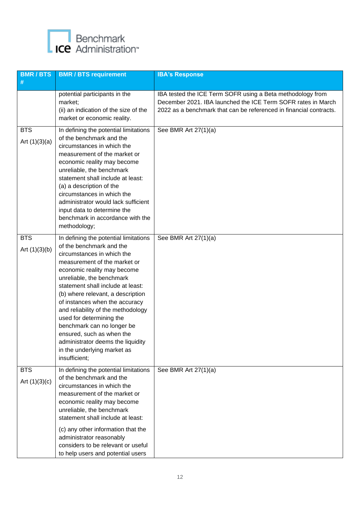

| <b>BMR/BTS</b><br>#           | <b>BMR / BTS requirement</b>                                                                                                                                                                                                                                                                                                                                                                                                                                                                                              | <b>IBA's Response</b>                                                                                                                                                                            |
|-------------------------------|---------------------------------------------------------------------------------------------------------------------------------------------------------------------------------------------------------------------------------------------------------------------------------------------------------------------------------------------------------------------------------------------------------------------------------------------------------------------------------------------------------------------------|--------------------------------------------------------------------------------------------------------------------------------------------------------------------------------------------------|
|                               | potential participants in the<br>market;<br>(ii) an indication of the size of the<br>market or economic reality.                                                                                                                                                                                                                                                                                                                                                                                                          | IBA tested the ICE Term SOFR using a Beta methodology from<br>December 2021. IBA launched the ICE Term SOFR rates in March<br>2022 as a benchmark that can be referenced in financial contracts. |
| <b>BTS</b><br>Art $(1)(3)(a)$ | In defining the potential limitations<br>of the benchmark and the<br>circumstances in which the<br>measurement of the market or<br>economic reality may become<br>unreliable, the benchmark<br>statement shall include at least:<br>(a) a description of the<br>circumstances in which the<br>administrator would lack sufficient<br>input data to determine the<br>benchmark in accordance with the<br>methodology;                                                                                                      | See BMR Art 27(1)(a)                                                                                                                                                                             |
| <b>BTS</b><br>Art $(1)(3)(b)$ | In defining the potential limitations<br>of the benchmark and the<br>circumstances in which the<br>measurement of the market or<br>economic reality may become<br>unreliable, the benchmark<br>statement shall include at least:<br>(b) where relevant, a description<br>of instances when the accuracy<br>and reliability of the methodology<br>used for determining the<br>benchmark can no longer be<br>ensured, such as when the<br>administrator deems the liquidity<br>in the underlying market as<br>insufficient; | See BMR Art 27(1)(a)                                                                                                                                                                             |
| <b>BTS</b><br>Art $(1)(3)(c)$ | In defining the potential limitations<br>of the benchmark and the<br>circumstances in which the<br>measurement of the market or<br>economic reality may become<br>unreliable, the benchmark<br>statement shall include at least:<br>(c) any other information that the<br>administrator reasonably<br>considers to be relevant or useful<br>to help users and potential users                                                                                                                                             | See BMR Art $27(1)(a)$                                                                                                                                                                           |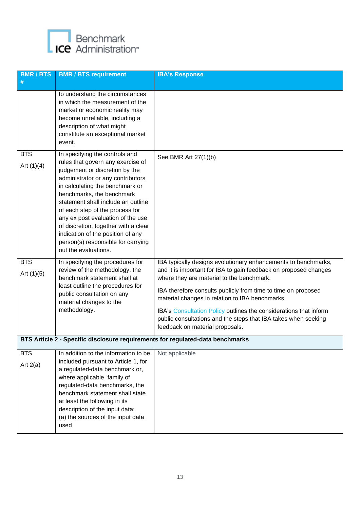

| <b>BMR/BTS</b>             | <b>BMR / BTS requirement</b>                                                                                                                                                                                                                                                                                                                                                                                                                                        | <b>IBA's Response</b>                                                                                                                                                                                                                                                                                                                                                                                                                                                         |  |
|----------------------------|---------------------------------------------------------------------------------------------------------------------------------------------------------------------------------------------------------------------------------------------------------------------------------------------------------------------------------------------------------------------------------------------------------------------------------------------------------------------|-------------------------------------------------------------------------------------------------------------------------------------------------------------------------------------------------------------------------------------------------------------------------------------------------------------------------------------------------------------------------------------------------------------------------------------------------------------------------------|--|
| #                          | to understand the circumstances<br>in which the measurement of the<br>market or economic reality may<br>become unreliable, including a<br>description of what might<br>constitute an exceptional market<br>event.                                                                                                                                                                                                                                                   |                                                                                                                                                                                                                                                                                                                                                                                                                                                                               |  |
| <b>BTS</b><br>Art $(1)(4)$ | In specifying the controls and<br>rules that govern any exercise of<br>judgement or discretion by the<br>administrator or any contributors<br>in calculating the benchmark or<br>benchmarks, the benchmark<br>statement shall include an outline<br>of each step of the process for<br>any ex post evaluation of the use<br>of discretion, together with a clear<br>indication of the position of any<br>person(s) responsible for carrying<br>out the evaluations. | See BMR Art 27(1)(b)                                                                                                                                                                                                                                                                                                                                                                                                                                                          |  |
| <b>BTS</b><br>Art $(1)(5)$ | In specifying the procedures for<br>review of the methodology, the<br>benchmark statement shall at<br>least outline the procedures for<br>public consultation on any<br>material changes to the<br>methodology.                                                                                                                                                                                                                                                     | IBA typically designs evolutionary enhancements to benchmarks,<br>and it is important for IBA to gain feedback on proposed changes<br>where they are material to the benchmark.<br>IBA therefore consults publicly from time to time on proposed<br>material changes in relation to IBA benchmarks.<br>IBA's Consultation Policy outlines the considerations that inform<br>public consultations and the steps that IBA takes when seeking<br>feedback on material proposals. |  |
|                            | BTS Article 2 - Specific disclosure requirements for regulated-data benchmarks                                                                                                                                                                                                                                                                                                                                                                                      |                                                                                                                                                                                                                                                                                                                                                                                                                                                                               |  |
| <b>BTS</b><br>Art $2(a)$   | In addition to the information to be<br>included pursuant to Article 1, for<br>a regulated-data benchmark or,<br>where applicable, family of<br>regulated-data benchmarks, the<br>benchmark statement shall state<br>at least the following in its<br>description of the input data:<br>(a) the sources of the input data<br>used                                                                                                                                   | Not applicable                                                                                                                                                                                                                                                                                                                                                                                                                                                                |  |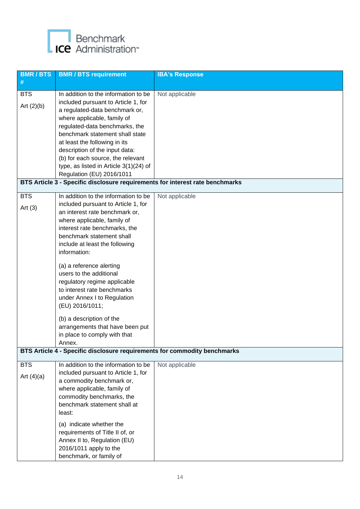

| <b>BMR/BTS</b>             | <b>BMR / BTS requirement</b>                                                                                                                                                                                                                                                                                                                                                                                                                                                                          | <b>IBA's Response</b> |
|----------------------------|-------------------------------------------------------------------------------------------------------------------------------------------------------------------------------------------------------------------------------------------------------------------------------------------------------------------------------------------------------------------------------------------------------------------------------------------------------------------------------------------------------|-----------------------|
| $\#$                       |                                                                                                                                                                                                                                                                                                                                                                                                                                                                                                       |                       |
| <b>BTS</b><br>Art $(2)(b)$ | In addition to the information to be<br>included pursuant to Article 1, for<br>a regulated-data benchmark or,<br>where applicable, family of<br>regulated-data benchmarks, the<br>benchmark statement shall state<br>at least the following in its<br>description of the input data:<br>(b) for each source, the relevant<br>type, as listed in Article 3(1)(24) of<br>Regulation (EU) 2016/1011<br>BTS Article 3 - Specific disclosure requirements for interest rate benchmarks                     | Not applicable        |
| <b>BTS</b>                 | In addition to the information to be                                                                                                                                                                                                                                                                                                                                                                                                                                                                  | Not applicable        |
| Art $(3)$                  | included pursuant to Article 1, for<br>an interest rate benchmark or,<br>where applicable, family of<br>interest rate benchmarks, the<br>benchmark statement shall<br>include at least the following<br>information:<br>(a) a reference alerting<br>users to the additional<br>regulatory regime applicable<br>to interest rate benchmarks<br>under Annex I to Regulation<br>(EU) 2016/1011;<br>(b) a description of the<br>arrangements that have been put<br>in place to comply with that<br>Annex. |                       |
|                            | BTS Article 4 - Specific disclosure requirements for commodity benchmarks                                                                                                                                                                                                                                                                                                                                                                                                                             |                       |
| <b>BTS</b><br>Art $(4)(a)$ | In addition to the information to be<br>included pursuant to Article 1, for<br>a commodity benchmark or,<br>where applicable, family of<br>commodity benchmarks, the<br>benchmark statement shall at<br>least:<br>(a) indicate whether the<br>requirements of Title II of, or<br>Annex II to, Regulation (EU)<br>2016/1011 apply to the<br>benchmark, or family of                                                                                                                                    | Not applicable        |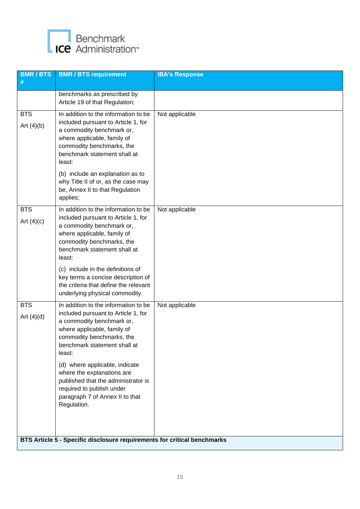

| <b>BMR/BTS</b><br>#                                                      | <b>BMR / BTS requirement</b>                                                                                                                                                                                   | <b>IBA's Response</b> |  |  |
|--------------------------------------------------------------------------|----------------------------------------------------------------------------------------------------------------------------------------------------------------------------------------------------------------|-----------------------|--|--|
|                                                                          | benchmarks as prescribed by<br>Article 19 of that Regulation;                                                                                                                                                  |                       |  |  |
| <b>BTS</b><br>Art $(4)(b)$                                               | In addition to the information to be<br>included pursuant to Article 1, for<br>a commodity benchmark or,<br>where applicable, family of<br>commodity benchmarks, the<br>benchmark statement shall at<br>least: | Not applicable        |  |  |
|                                                                          | (b) include an explanation as to<br>why Title II of or, as the case may<br>be, Annex II to that Regulation<br>applies;                                                                                         |                       |  |  |
| <b>BTS</b><br>Art $(4)(c)$                                               | In addition to the information to be<br>included pursuant to Article 1, for<br>a commodity benchmark or,<br>where applicable, family of<br>commodity benchmarks, the<br>benchmark statement shall at<br>least: | Not applicable        |  |  |
|                                                                          | (c) include in the definitions of<br>key terms a concise description of<br>the criteria that define the relevant<br>underlying physical commodity.                                                             |                       |  |  |
| <b>BTS</b><br>Art $(4)(d)$                                               | In addition to the information to be<br>included pursuant to Article 1, for<br>a commodity benchmark or,<br>where applicable, family of<br>commodity benchmarks, the<br>benchmark statement shall at<br>least: | Not applicable        |  |  |
|                                                                          | (d) where applicable, indicate<br>where the explanations are<br>published that the administrator is<br>required to publish under<br>paragraph 7 of Annex II to that<br>Regulation.                             |                       |  |  |
| BTS Article 5 - Specific disclosure requirements for critical benchmarks |                                                                                                                                                                                                                |                       |  |  |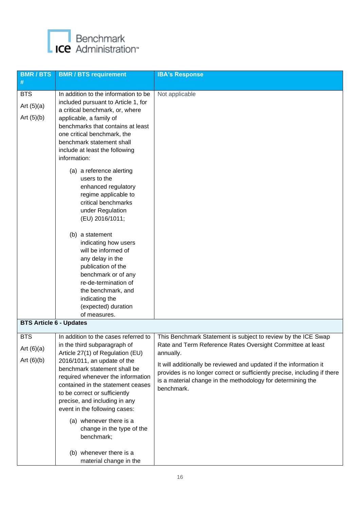

| <b>BMR/BTS</b>                                  | <b>BMR / BTS requirement</b>                                                                                                                                                                                                                                                                                                                                                                                   | <b>IBA's Response</b>                                                                                                                                                                                                                     |
|-------------------------------------------------|----------------------------------------------------------------------------------------------------------------------------------------------------------------------------------------------------------------------------------------------------------------------------------------------------------------------------------------------------------------------------------------------------------------|-------------------------------------------------------------------------------------------------------------------------------------------------------------------------------------------------------------------------------------------|
| #<br><b>BTS</b><br>Art $(5)(a)$<br>Art $(5)(b)$ | In addition to the information to be<br>included pursuant to Article 1, for<br>a critical benchmark, or, where<br>applicable, a family of<br>benchmarks that contains at least<br>one critical benchmark, the<br>benchmark statement shall<br>include at least the following<br>information:<br>(a) a reference alerting<br>users to the<br>enhanced regulatory<br>regime applicable to<br>critical benchmarks | Not applicable                                                                                                                                                                                                                            |
| <b>BTS Article 6 - Updates</b>                  | under Regulation<br>(EU) 2016/1011;<br>(b) a statement<br>indicating how users<br>will be informed of<br>any delay in the<br>publication of the<br>benchmark or of any<br>re-de-termination of<br>the benchmark, and<br>indicating the<br>(expected) duration<br>of measures.                                                                                                                                  |                                                                                                                                                                                                                                           |
| <b>BTS</b><br>Art $(6)(a)$                      | in the third subparagraph of                                                                                                                                                                                                                                                                                                                                                                                   | In addition to the cases referred to   This Benchmark Statement is subject to review by the ICE Swap<br>Rate and Term Reference Rates Oversight Committee at least                                                                        |
| Art $(6)(b)$                                    | Article 27(1) of Regulation (EU)<br>2016/1011, an update of the<br>benchmark statement shall be<br>required whenever the information<br>contained in the statement ceases<br>to be correct or sufficiently<br>precise, and including in any<br>event in the following cases:                                                                                                                                   | annually.<br>It will additionally be reviewed and updated if the information it<br>provides is no longer correct or sufficiently precise, including if there<br>is a material change in the methodology for determining the<br>benchmark. |
|                                                 | (a) whenever there is a<br>change in the type of the<br>benchmark;<br>(b) whenever there is a<br>material change in the                                                                                                                                                                                                                                                                                        |                                                                                                                                                                                                                                           |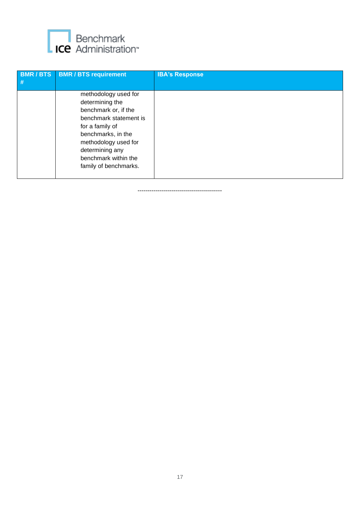

| BMR/BTS<br># | <b>BMR / BTS requirement</b>                                                                                                                                                                                                   | <b>IBA's Response</b> |
|--------------|--------------------------------------------------------------------------------------------------------------------------------------------------------------------------------------------------------------------------------|-----------------------|
|              | methodology used for<br>determining the<br>benchmark or, if the<br>benchmark statement is<br>for a family of<br>benchmarks, in the<br>methodology used for<br>determining any<br>benchmark within the<br>family of benchmarks. |                       |

------------------------------------------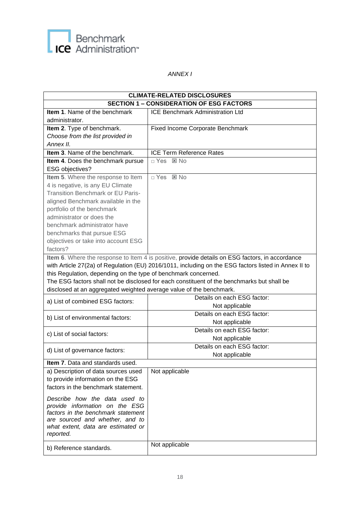

*ANNEX I*

|                                                                     | <b>CLIMATE-RELATED DISCLOSURES</b>                                                                   |  |  |  |
|---------------------------------------------------------------------|------------------------------------------------------------------------------------------------------|--|--|--|
| <b>SECTION 1 - CONSIDERATION OF ESG FACTORS</b>                     |                                                                                                      |  |  |  |
| Item 1. Name of the benchmark                                       | <b>ICE Benchmark Administration Ltd</b>                                                              |  |  |  |
| administrator.                                                      |                                                                                                      |  |  |  |
| Item 2. Type of benchmark.                                          | <b>Fixed Income Corporate Benchmark</b>                                                              |  |  |  |
| Choose from the list provided in                                    |                                                                                                      |  |  |  |
| Annex II.                                                           |                                                                                                      |  |  |  |
| Item 3. Name of the benchmark.                                      | <b>ICE Term Reference Rates</b>                                                                      |  |  |  |
| Item 4. Does the benchmark pursue                                   | □ Yes ⊠ No                                                                                           |  |  |  |
| ESG objectives?                                                     |                                                                                                      |  |  |  |
| Item 5. Where the response to Item                                  | $\neg$ Yes $\boxtimes$ No                                                                            |  |  |  |
| 4 is negative, is any EU Climate                                    |                                                                                                      |  |  |  |
| <b>Transition Benchmark or EU Paris-</b>                            |                                                                                                      |  |  |  |
| aligned Benchmark available in the                                  |                                                                                                      |  |  |  |
| portfolio of the benchmark                                          |                                                                                                      |  |  |  |
| administrator or does the                                           |                                                                                                      |  |  |  |
| benchmark administrator have                                        |                                                                                                      |  |  |  |
| benchmarks that pursue ESG                                          |                                                                                                      |  |  |  |
| objectives or take into account ESG                                 |                                                                                                      |  |  |  |
| factors?                                                            |                                                                                                      |  |  |  |
|                                                                     | Item 6. Where the response to Item 4 is positive, provide details on ESG factors, in accordance      |  |  |  |
|                                                                     | with Article 27(2a) of Regulation (EU) 2016/1011, including on the ESG factors listed in Annex II to |  |  |  |
| this Regulation, depending on the type of benchmark concerned.      |                                                                                                      |  |  |  |
|                                                                     | The ESG factors shall not be disclosed for each constituent of the benchmarks but shall be           |  |  |  |
| disclosed at an aggregated weighted average value of the benchmark. |                                                                                                      |  |  |  |
| a) List of combined ESG factors:                                    | Details on each ESG factor:                                                                          |  |  |  |
|                                                                     | Not applicable                                                                                       |  |  |  |
| b) List of environmental factors:                                   | Details on each ESG factor:                                                                          |  |  |  |
|                                                                     | Not applicable                                                                                       |  |  |  |
| c) List of social factors:                                          | Details on each ESG factor:                                                                          |  |  |  |
|                                                                     | Not applicable                                                                                       |  |  |  |
| d) List of governance factors:                                      | Details on each ESG factor:                                                                          |  |  |  |
|                                                                     | Not applicable                                                                                       |  |  |  |
| Item 7. Data and standards used.                                    |                                                                                                      |  |  |  |
| a) Description of data sources used                                 | Not applicable                                                                                       |  |  |  |
| to provide information on the ESG                                   |                                                                                                      |  |  |  |
| factors in the benchmark statement.                                 |                                                                                                      |  |  |  |
| Describe how the data used to                                       |                                                                                                      |  |  |  |
| provide information on the ESG                                      |                                                                                                      |  |  |  |
| factors in the benchmark statement                                  |                                                                                                      |  |  |  |
| are sourced and whether, and to                                     |                                                                                                      |  |  |  |
| what extent, data are estimated or                                  |                                                                                                      |  |  |  |
| reported.                                                           |                                                                                                      |  |  |  |
| b) Reference standards.                                             | Not applicable                                                                                       |  |  |  |
|                                                                     |                                                                                                      |  |  |  |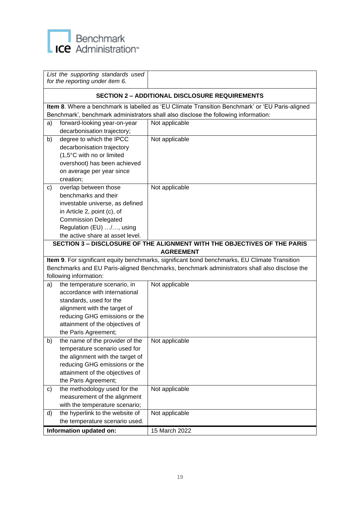

| List the supporting standards used<br>for the reporting under item 6. |                                                                                                 |                                                                                               |  |  |  |
|-----------------------------------------------------------------------|-------------------------------------------------------------------------------------------------|-----------------------------------------------------------------------------------------------|--|--|--|
|                                                                       | <b>SECTION 2 - ADDITIONAL DISCLOSURE REQUIREMENTS</b>                                           |                                                                                               |  |  |  |
|                                                                       | Item 8. Where a benchmark is labelled as 'EU Climate Transition Benchmark' or 'EU Paris-aligned |                                                                                               |  |  |  |
|                                                                       | Benchmark', benchmark administrators shall also disclose the following information:             |                                                                                               |  |  |  |
| a)                                                                    | forward-looking year-on-year                                                                    | Not applicable                                                                                |  |  |  |
|                                                                       | decarbonisation trajectory;                                                                     |                                                                                               |  |  |  |
| b)                                                                    | degree to which the IPCC                                                                        | Not applicable                                                                                |  |  |  |
|                                                                       | decarbonisation trajectory                                                                      |                                                                                               |  |  |  |
|                                                                       | (1,5°C with no or limited                                                                       |                                                                                               |  |  |  |
|                                                                       | overshoot) has been achieved                                                                    |                                                                                               |  |  |  |
|                                                                       | on average per year since                                                                       |                                                                                               |  |  |  |
|                                                                       | creation;                                                                                       |                                                                                               |  |  |  |
| c)                                                                    | overlap between those                                                                           | Not applicable                                                                                |  |  |  |
|                                                                       | benchmarks and their                                                                            |                                                                                               |  |  |  |
|                                                                       | investable universe, as defined                                                                 |                                                                                               |  |  |  |
|                                                                       | in Article 2, point (c), of                                                                     |                                                                                               |  |  |  |
|                                                                       | <b>Commission Delegated</b>                                                                     |                                                                                               |  |  |  |
|                                                                       | Regulation (EU) /, using                                                                        |                                                                                               |  |  |  |
|                                                                       | the active share at asset level.                                                                |                                                                                               |  |  |  |
|                                                                       |                                                                                                 | SECTION 3 - DISCLOSURE OF THE ALIGNMENT WITH THE OBJECTIVES OF THE PARIS                      |  |  |  |
|                                                                       |                                                                                                 | <b>AGREEMENT</b>                                                                              |  |  |  |
|                                                                       |                                                                                                 | Item 9. For significant equity benchmarks, significant bond benchmarks, EU Climate Transition |  |  |  |
|                                                                       |                                                                                                 | Benchmarks and EU Paris-aligned Benchmarks, benchmark administrators shall also disclose the  |  |  |  |
|                                                                       | following information:                                                                          |                                                                                               |  |  |  |
| a)                                                                    | the temperature scenario, in                                                                    | Not applicable                                                                                |  |  |  |
|                                                                       | accordance with international                                                                   |                                                                                               |  |  |  |
|                                                                       | standards, used for the                                                                         |                                                                                               |  |  |  |
|                                                                       | alignment with the target of                                                                    |                                                                                               |  |  |  |
|                                                                       | reducing GHG emissions or the                                                                   |                                                                                               |  |  |  |
|                                                                       | attainment of the objectives of                                                                 |                                                                                               |  |  |  |
|                                                                       | the Paris Agreement;                                                                            |                                                                                               |  |  |  |
| b)                                                                    | the name of the provider of the                                                                 | Not applicable                                                                                |  |  |  |
|                                                                       | temperature scenario used for                                                                   |                                                                                               |  |  |  |
|                                                                       | the alignment with the target of                                                                |                                                                                               |  |  |  |
|                                                                       | reducing GHG emissions or the                                                                   |                                                                                               |  |  |  |
|                                                                       | attainment of the objectives of                                                                 |                                                                                               |  |  |  |
|                                                                       | the Paris Agreement;                                                                            |                                                                                               |  |  |  |
| c)                                                                    | the methodology used for the                                                                    | Not applicable                                                                                |  |  |  |
|                                                                       | measurement of the alignment                                                                    |                                                                                               |  |  |  |
|                                                                       | with the temperature scenario;                                                                  |                                                                                               |  |  |  |
| d)                                                                    | the hyperlink to the website of                                                                 | Not applicable                                                                                |  |  |  |
| the temperature scenario used.                                        |                                                                                                 |                                                                                               |  |  |  |
| Information updated on:                                               |                                                                                                 | 15 March 2022                                                                                 |  |  |  |